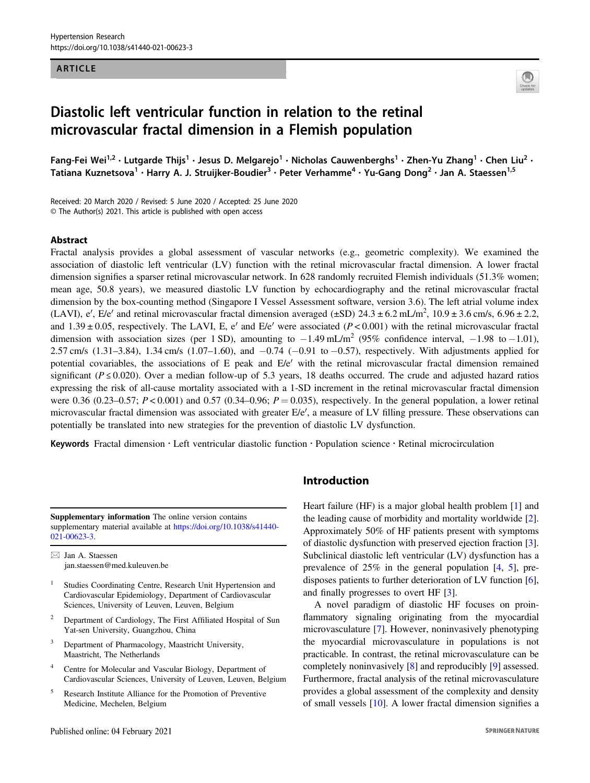#### ARTICLE



# Diastolic left ventricular function in relation to the retinal microvascular fractal dimension in a Flemish population

Fang-Fei Wei<sup>1,2</sup> • Lutgarde Thijs<sup>1</sup> • Jesus D. Melgarejo<sup>1</sup> • Nicholas Cauwenberghs<sup>1</sup> • Zhen-Yu Zhang<sup>1</sup> • Chen Liu<sup>2</sup> • Tatiana Kuznetsova $^1$  • Harry A. J. Struijker-Boudier $^3$  • Peter Verhamme $^4$  • Yu-Gang Dong $^2$  • Jan A. Staessen $^{1,5}$ 

Received: 20 March 2020 / Revised: 5 June 2020 / Accepted: 25 June 2020 © The Author(s) 2021. This article is published with open access

#### Abstract

Fractal analysis provides a global assessment of vascular networks (e.g., geometric complexity). We examined the association of diastolic left ventricular (LV) function with the retinal microvascular fractal dimension. A lower fractal dimension signifies a sparser retinal microvascular network. In 628 randomly recruited Flemish individuals (51.3% women; mean age, 50.8 years), we measured diastolic LV function by echocardiography and the retinal microvascular fractal dimension by the box-counting method (Singapore I Vessel Assessment software, version 3.6). The left atrial volume index (LAVI), e', E/e' and retinal microvascular fractal dimension averaged ( $\pm$ SD) 24.3  $\pm$  6.2 mL/m<sup>2</sup>, 10.9  $\pm$  3.6 cm/s, 6.96  $\pm$  2.2, and 1.39  $\pm$  0.05, respectively. The LAVI, E, e' and E/e' were associated (P < 0.001) with the retinal microvascular fractal dimension with association sizes (per 1 SD), amounting to  $-1.49$  mL/m<sup>2</sup> (95% confidence interval,  $-1.98$  to  $-1.01$ ), 2.57 cm/s (1.31–3.84), 1.34 cm/s (1.07–1.60), and −0.74 (−0.91 to −0.57), respectively. With adjustments applied for potential covariables, the associations of E peak and E/e′ with the retinal microvascular fractal dimension remained significant ( $P \le 0.020$ ). Over a median follow-up of 5.3 years, 18 deaths occurred. The crude and adjusted hazard ratios expressing the risk of all-cause mortality associated with a 1-SD increment in the retinal microvascular fractal dimension were 0.36 (0.23–0.57;  $P < 0.001$ ) and 0.57 (0.34–0.96;  $P = 0.035$ ), respectively. In the general population, a lower retinal microvascular fractal dimension was associated with greater E/e′, a measure of LV filling pressure. These observations can potentially be translated into new strategies for the prevention of diastolic LV dysfunction.

Keywords Fractal dimension · Left ventricular diastolic function · Population science · Retinal microcirculation

Supplementary information The online version contains supplementary material available at [https://doi.org/10.1038/s41440-](https://doi.org/10.1038/s41440-021-00623-3) [021-00623-3.](https://doi.org/10.1038/s41440-021-00623-3)

 $\boxtimes$  Jan A. Staessen [jan.staessen@med.kuleuven.be](mailto:jan.staessen@med.kuleuven.be)

- Studies Coordinating Centre, Research Unit Hypertension and Cardiovascular Epidemiology, Department of Cardiovascular Sciences, University of Leuven, Leuven, Belgium
- <sup>2</sup> Department of Cardiology, The First Affiliated Hospital of Sun Yat-sen University, Guangzhou, China
- <sup>3</sup> Department of Pharmacology, Maastricht University, Maastricht, The Netherlands
- <sup>4</sup> Centre for Molecular and Vascular Biology, Department of Cardiovascular Sciences, University of Leuven, Leuven, Belgium
- <sup>5</sup> Research Institute Alliance for the Promotion of Preventive Medicine, Mechelen, Belgium

#### Introduction

Heart failure (HF) is a major global health problem [[1\]](#page-6-0) and the leading cause of morbidity and mortality worldwide [[2\]](#page-6-0). Approximately 50% of HF patients present with symptoms of diastolic dysfunction with preserved ejection fraction [[3\]](#page-6-0). Subclinical diastolic left ventricular (LV) dysfunction has a prevalence of 25% in the general population [\[4](#page-6-0), [5](#page-6-0)], predisposes patients to further deterioration of LV function [[6\]](#page-6-0), and finally progresses to overt HF [\[3](#page-6-0)].

A novel paradigm of diastolic HF focuses on proinflammatory signaling originating from the myocardial microvasculature [\[7](#page-6-0)]. However, noninvasively phenotyping the myocardial microvasculature in populations is not practicable. In contrast, the retinal microvasculature can be completely noninvasively [[8\]](#page-6-0) and reproducibly [[9\]](#page-6-0) assessed. Furthermore, fractal analysis of the retinal microvasculature provides a global assessment of the complexity and density of small vessels [\[10](#page-6-0)]. A lower fractal dimension signifies a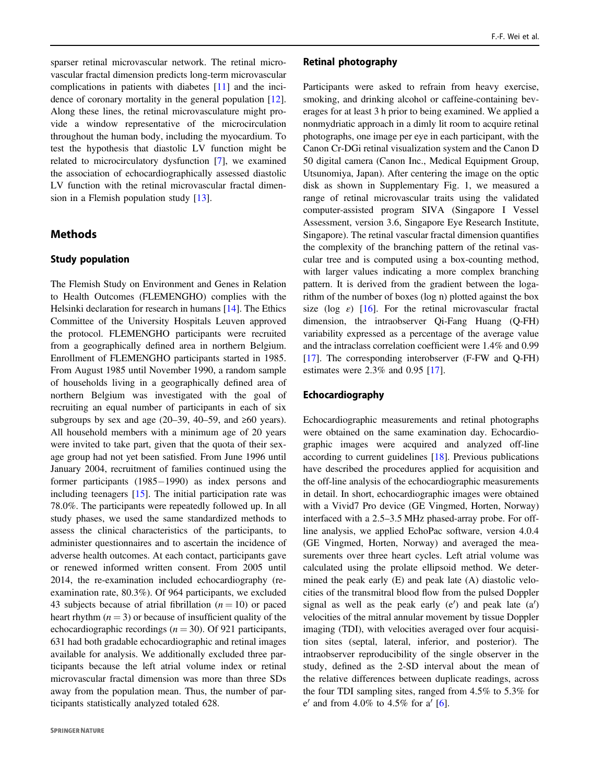sparser retinal microvascular network. The retinal microvascular fractal dimension predicts long-term microvascular complications in patients with diabetes [[11\]](#page-6-0) and the incidence of coronary mortality in the general population [\[12](#page-6-0)]. Along these lines, the retinal microvasculature might provide a window representative of the microcirculation throughout the human body, including the myocardium. To test the hypothesis that diastolic LV function might be related to microcirculatory dysfunction [\[7](#page-6-0)], we examined the association of echocardiographically assessed diastolic LV function with the retinal microvascular fractal dimension in a Flemish population study [[13\]](#page-6-0).

#### **Methods**

#### Study population

The Flemish Study on Environment and Genes in Relation to Health Outcomes (FLEMENGHO) complies with the Helsinki declaration for research in humans [[14\]](#page-6-0). The Ethics Committee of the University Hospitals Leuven approved the protocol. FLEMENGHO participants were recruited from a geographically defined area in northern Belgium. Enrollment of FLEMENGHO participants started in 1985. From August 1985 until November 1990, a random sample of households living in a geographically defined area of northern Belgium was investigated with the goal of recruiting an equal number of participants in each of six subgroups by sex and age (20–39, 40–59, and  $\geq 60$  years). All household members with a minimum age of 20 years were invited to take part, given that the quota of their sexage group had not yet been satisfied. From June 1996 until January 2004, recruitment of families continued using the former participants (1985−1990) as index persons and including teenagers [\[15](#page-7-0)]. The initial participation rate was 78.0%. The participants were repeatedly followed up. In all study phases, we used the same standardized methods to assess the clinical characteristics of the participants, to administer questionnaires and to ascertain the incidence of adverse health outcomes. At each contact, participants gave or renewed informed written consent. From 2005 until 2014, the re-examination included echocardiography (reexamination rate, 80.3%). Of 964 participants, we excluded 43 subjects because of atrial fibrillation  $(n = 10)$  or paced heart rhythm  $(n = 3)$  or because of insufficient quality of the echocardiographic recordings ( $n = 30$ ). Of 921 participants, 631 had both gradable echocardiographic and retinal images available for analysis. We additionally excluded three participants because the left atrial volume index or retinal microvascular fractal dimension was more than three SDs away from the population mean. Thus, the number of participants statistically analyzed totaled 628.

#### Retinal photography

Participants were asked to refrain from heavy exercise, smoking, and drinking alcohol or caffeine-containing beverages for at least 3 h prior to being examined. We applied a nonmydriatic approach in a dimly lit room to acquire retinal photographs, one image per eye in each participant, with the Canon Cr-DGi retinal visualization system and the Canon D 50 digital camera (Canon Inc., Medical Equipment Group, Utsunomiya, Japan). After centering the image on the optic disk as shown in Supplementary Fig. 1, we measured a range of retinal microvascular traits using the validated computer-assisted program SIVA (Singapore I Vessel Assessment, version 3.6, Singapore Eye Research Institute, Singapore). The retinal vascular fractal dimension quantifies the complexity of the branching pattern of the retinal vascular tree and is computed using a box-counting method, with larger values indicating a more complex branching pattern. It is derived from the gradient between the logarithm of the number of boxes (log n) plotted against the box size (log  $\varepsilon$ ) [\[16](#page-7-0)]. For the retinal microvascular fractal dimension, the intraobserver Qi-Fang Huang (Q-FH) variability expressed as a percentage of the average value and the intraclass correlation coefficient were 1.4% and 0.99 [\[17](#page-7-0)]. The corresponding interobserver (F-FW and Q-FH) estimates were 2.3% and 0.95 [\[17](#page-7-0)].

#### Echocardiography

Echocardiographic measurements and retinal photographs were obtained on the same examination day. Echocardiographic images were acquired and analyzed off-line according to current guidelines [[18\]](#page-7-0). Previous publications have described the procedures applied for acquisition and the off-line analysis of the echocardiographic measurements in detail. In short, echocardiographic images were obtained with a Vivid7 Pro device (GE Vingmed, Horten, Norway) interfaced with a 2.5–3.5 MHz phased-array probe. For offline analysis, we applied EchoPac software, version 4.0.4 (GE Vingmed, Horten, Norway) and averaged the measurements over three heart cycles. Left atrial volume was calculated using the prolate ellipsoid method. We determined the peak early (E) and peak late (A) diastolic velocities of the transmitral blood flow from the pulsed Doppler signal as well as the peak early  $(e')$  and peak late  $(a')$ velocities of the mitral annular movement by tissue Doppler imaging (TDI), with velocities averaged over four acquisition sites (septal, lateral, inferior, and posterior). The intraobserver reproducibility of the single observer in the study, defined as the 2-SD interval about the mean of the relative differences between duplicate readings, across the four TDI sampling sites, ranged from 4.5% to 5.3% for e' and from 4.0% to 4.5% for a'  $[6]$  $[6]$ .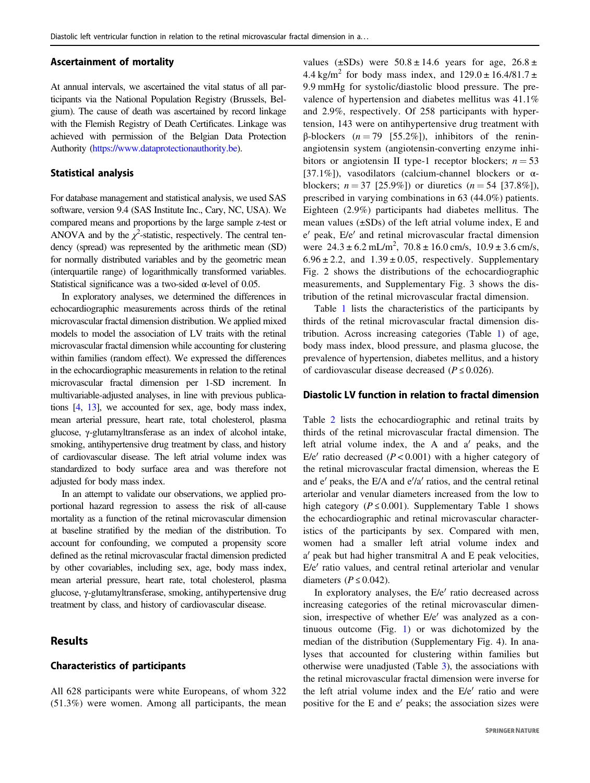#### Ascertainment of mortality

At annual intervals, we ascertained the vital status of all participants via the National Population Registry (Brussels, Belgium). The cause of death was ascertained by record linkage with the Flemish Registry of Death Certificates. Linkage was achieved with permission of the Belgian Data Protection Authority ([https://www.dataprotectionauthority.be](https://www.dataprotectionauthority.be/)).

#### Statistical analysis

For database management and statistical analysis, we used SAS software, version 9.4 (SAS Institute Inc., Cary, NC, USA). We compared means and proportions by the large sample z-test or ANOVA and by the  $\chi^2$ -statistic, respectively. The central tendency (spread) was represented by the arithmetic mean (SD) for normally distributed variables and by the geometric mean (interquartile range) of logarithmically transformed variables. Statistical significance was a two-sided  $\alpha$ -level of 0.05.

In exploratory analyses, we determined the differences in echocardiographic measurements across thirds of the retinal microvascular fractal dimension distribution. We applied mixed models to model the association of LV traits with the retinal microvascular fractal dimension while accounting for clustering within families (random effect). We expressed the differences in the echocardiographic measurements in relation to the retinal microvascular fractal dimension per 1-SD increment. In multivariable-adjusted analyses, in line with previous publications [\[4](#page-6-0), [13](#page-6-0)], we accounted for sex, age, body mass index, mean arterial pressure, heart rate, total cholesterol, plasma glucose, γ-glutamyltransferase as an index of alcohol intake, smoking, antihypertensive drug treatment by class, and history of cardiovascular disease. The left atrial volume index was standardized to body surface area and was therefore not adjusted for body mass index.

In an attempt to validate our observations, we applied proportional hazard regression to assess the risk of all-cause mortality as a function of the retinal microvascular dimension at baseline stratified by the median of the distribution. To account for confounding, we computed a propensity score defined as the retinal microvascular fractal dimension predicted by other covariables, including sex, age, body mass index, mean arterial pressure, heart rate, total cholesterol, plasma glucose, γ-glutamyltransferase, smoking, antihypertensive drug treatment by class, and history of cardiovascular disease.

#### Results

#### Characteristics of participants

All 628 participants were white Europeans, of whom 322 (51.3%) were women. Among all participants, the mean values ( $\pm$ SDs) were  $50.8 \pm 14.6$  years for age,  $26.8 \pm$ 4.4 kg/m<sup>2</sup> for body mass index, and  $129.0 \pm 16.4/81.7 \pm 10.4/8$ 9.9 mmHg for systolic/diastolic blood pressure. The prevalence of hypertension and diabetes mellitus was 41.1% and 2.9%, respectively. Of 258 participants with hypertension, 143 were on antihypertensive drug treatment with β-blockers  $(n = 79 \text{ [}55.2\text{%}])$ , inhibitors of the reninangiotensin system (angiotensin-converting enzyme inhibitors or angiotensin II type-1 receptor blockers;  $n = 53$ [37.1%]), vasodilators (calcium-channel blockers or αblockers;  $n = 37$  [25.9%]) or diuretics  $(n = 54$  [37.8%]), prescribed in varying combinations in 63 (44.0%) patients. Eighteen (2.9%) participants had diabetes mellitus. The mean values  $(\pm SDs)$  of the left atrial volume index, E and e′ peak, E/e′ and retinal microvascular fractal dimension were  $24.3 \pm 6.2$  mL/m<sup>2</sup>,  $70.8 \pm 16.0$  cm/s,  $10.9 \pm 3.6$  cm/s,  $6.96 \pm 2.2$ , and  $1.39 \pm 0.05$ , respectively. Supplementary Fig. 2 shows the distributions of the echocardiographic measurements, and Supplementary Fig. 3 shows the distribution of the retinal microvascular fractal dimension.

Table [1](#page-3-0) lists the characteristics of the participants by thirds of the retinal microvascular fractal dimension distribution. Across increasing categories (Table [1](#page-3-0)) of age, body mass index, blood pressure, and plasma glucose, the prevalence of hypertension, diabetes mellitus, and a history of cardiovascular disease decreased ( $P \le 0.026$ ).

#### Diastolic LV function in relation to fractal dimension

Table [2](#page-4-0) lists the echocardiographic and retinal traits by thirds of the retinal microvascular fractal dimension. The left atrial volume index, the A and a′ peaks, and the E/e' ratio decreased  $(P < 0.001)$  with a higher category of the retinal microvascular fractal dimension, whereas the E and e′ peaks, the E/A and e′/a′ ratios, and the central retinal arteriolar and venular diameters increased from the low to high category ( $P \le 0.001$ ). Supplementary Table 1 shows the echocardiographic and retinal microvascular characteristics of the participants by sex. Compared with men, women had a smaller left atrial volume index and a′ peak but had higher transmitral A and E peak velocities, E/e′ ratio values, and central retinal arteriolar and venular diameters ( $P \le 0.042$ ).

In exploratory analyses, the E/e′ ratio decreased across increasing categories of the retinal microvascular dimension, irrespective of whether E/e′ was analyzed as a continuous outcome (Fig. [1](#page-4-0)) or was dichotomized by the median of the distribution (Supplementary Fig. 4). In analyses that accounted for clustering within families but otherwise were unadjusted (Table [3\)](#page-4-0), the associations with the retinal microvascular fractal dimension were inverse for the left atrial volume index and the E/e′ ratio and were positive for the E and e′ peaks; the association sizes were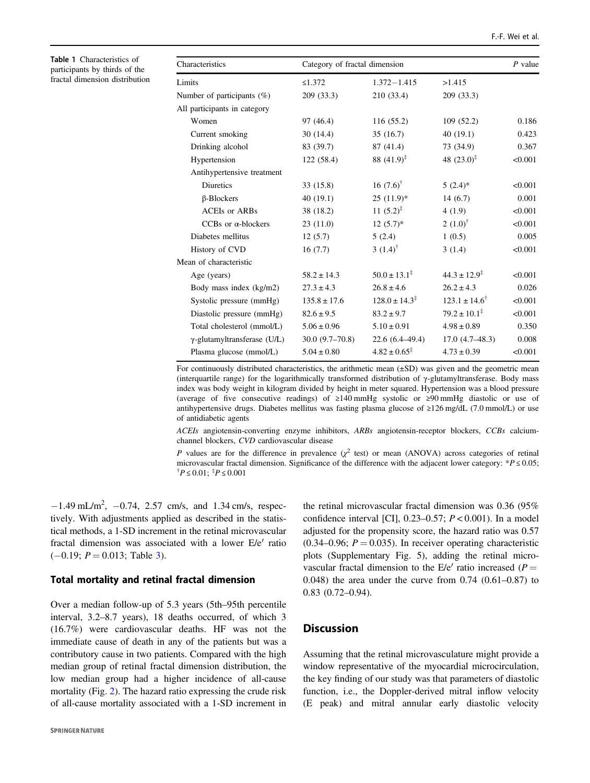| Characteristics                     | Category of fractal dimension |                             |                            | $P$ value |
|-------------------------------------|-------------------------------|-----------------------------|----------------------------|-----------|
| Limits                              | $\leq 1.372$                  | $1.372 - 1.415$             | >1.415                     |           |
| Number of participants (%)          | 209 (33.3)                    | 210 (33.4)                  | 209 (33.3)                 |           |
| All participants in category        |                               |                             |                            |           |
| Women                               | 97 (46.4)                     | 116(55.2)                   | 109(52.2)                  | 0.186     |
| Current smoking                     | 30(14.4)                      | 35(16.7)                    | 40(19.1)                   | 0.423     |
| Drinking alcohol                    | 83 (39.7)                     | 87 (41.4)                   | 73 (34.9)                  | 0.367     |
| Hypertension                        | 122 (58.4)                    | 88 $(41.9)^{\ddagger}$      | 48 $(23.0)^{\ddagger}$     | < 0.001   |
| Antihypertensive treatment          |                               |                             |                            |           |
| <b>Diuretics</b>                    | 33(15.8)                      | 16 $(7.6)^{\dagger}$        | $5(2.4)$ *                 | < 0.001   |
| $\beta$ -Blockers                   | 40(19.1)                      | $25(11.9)^*$                | 14(6.7)                    | 0.001     |
| <b>ACEIs or ARBs</b>                | 38 (18.2)                     | 11 $(5.2)^{\ddagger}$       | 4(1.9)                     | < 0.001   |
| CCBs or $\alpha$ -blockers          | 23(11.0)                      | $12(5.7)^{*}$               | 2 $(1.0)^{\dagger}$        | < 0.001   |
| Diabetes mellitus                   | 12(5.7)                       | 5(2.4)                      | 1(0.5)                     | 0.005     |
| History of CVD                      | 16(7.7)                       | 3 $(1.4)^{\dagger}$         | 3(1.4)                     | < 0.001   |
| Mean of characteristic              |                               |                             |                            |           |
| Age (years)                         | $58.2 \pm 14.3$               | $50.0 \pm 13.1^{\ddagger}$  | $44.3 \pm 12.9^{\ddagger}$ | < 0.001   |
| Body mass index (kg/m2)             | $27.3 \pm 4.3$                | $26.8 \pm 4.6$              | $26.2 \pm 4.3$             | 0.026     |
| Systolic pressure (mmHg)            | $135.8 \pm 17.6$              | $128.0 \pm 14.3^{\ddagger}$ | $123.1 \pm 14.6^{\dagger}$ | < 0.001   |
| Diastolic pressure (mmHg)           | $82.6 \pm 9.5$                | $83.2 \pm 9.7$              | $79.2 \pm 10.1^{\ddagger}$ | < 0.001   |
| Total cholesterol (mmol/L)          | $5.06 \pm 0.96$               | $5.10 \pm 0.91$             | $4.98 \pm 0.89$            | 0.350     |
| $\gamma$ -glutamyltransferase (U/L) | $30.0(9.7-70.8)$              | $22.6(6.4 - 49.4)$          | $17.0(4.7-48.3)$           | 0.008     |
| Plasma glucose (mmol/L)             | $5.04 \pm 0.80$               | $4.82 \pm 0.65^{\ddagger}$  | $4.73 \pm 0.39$            | < 0.001   |

For continuously distributed characteristics, the arithmetic mean (±SD) was given and the geometric mean (interquartile range) for the logarithmically transformed distribution of  $\gamma$ -glutamyltransferase. Body mass index was body weight in kilogram divided by height in meter squared. Hypertension was a blood pressure (average of five consecutive readings) of ≥140 mmHg systolic or ≥90 mmHg diastolic or use of antihypertensive drugs. Diabetes mellitus was fasting plasma glucose of ≥126 mg/dL (7.0 mmol/L) or use of antidiabetic agents

ACEIs angiotensin-converting enzyme inhibitors, ARBs angiotensin-receptor blockers, CCBs calciumchannel blockers, CVD cardiovascular disease

P values are for the difference in prevalence  $(\chi^2$  test) or mean (ANOVA) across categories of retinal microvascular fractal dimension. Significance of the difference with the adjacent lower category:  $P \le 0.05$ ;  $P \leq 0.01$ ;  $P \leq 0.001$ 

 $-1.49 \text{ mL/m}^2$ ,  $-0.74$ , 2.57 cm/s, and 1.34 cm/s, respectively. With adjustments applied as described in the statistical methods, a 1-SD increment in the retinal microvascular fractal dimension was associated with a lower E/e′ ratio  $(-0.19; P = 0.013;$  $(-0.19; P = 0.013;$  $(-0.19; P = 0.013;$  Table 3).

#### Total mortality and retinal fractal dimension

Over a median follow-up of 5.3 years (5th–95th percentile interval, 3.2–8.7 years), 18 deaths occurred, of which 3 (16.7%) were cardiovascular deaths. HF was not the immediate cause of death in any of the patients but was a contributory cause in two patients. Compared with the high median group of retinal fractal dimension distribution, the low median group had a higher incidence of all-cause mortality (Fig. [2\)](#page-5-0). The hazard ratio expressing the crude risk of all-cause mortality associated with a 1-SD increment in

<span id="page-3-0"></span>Table 1 Characteristics of participants by thirds of the fractal dimension distribution

> the retinal microvascular fractal dimension was 0.36 (95% confidence interval [CI],  $0.23-0.57$ ;  $P < 0.001$ ). In a model adjusted for the propensity score, the hazard ratio was 0.57  $(0.34-0.96; P = 0.035)$ . In receiver operating characteristic plots (Supplementary Fig. 5), adding the retinal microvascular fractal dimension to the  $E/e'$  ratio increased ( $P =$ 0.048) the area under the curve from 0.74 (0.61–0.87) to 0.83 (0.72–0.94).

#### **Discussion**

Assuming that the retinal microvasculature might provide a window representative of the myocardial microcirculation, the key finding of our study was that parameters of diastolic function, i.e., the Doppler-derived mitral inflow velocity (E peak) and mitral annular early diastolic velocity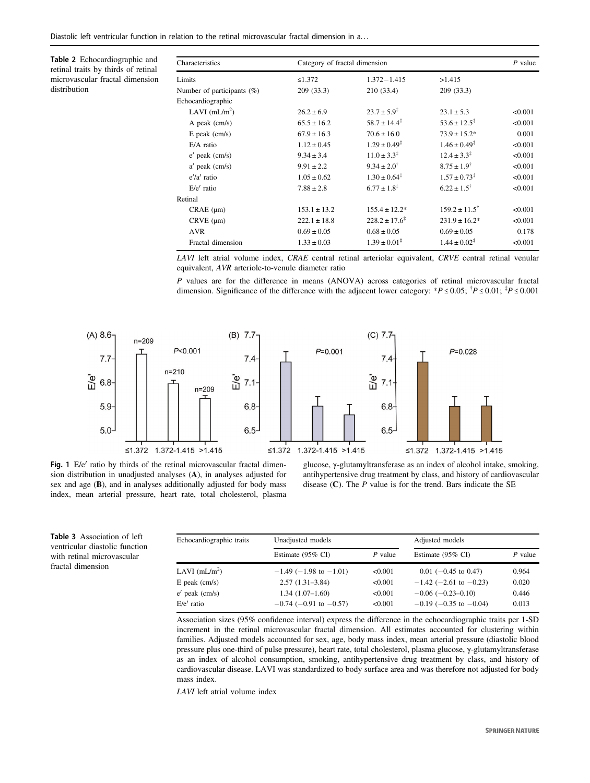j.

<span id="page-4-0"></span>Table 2 Echocardiographic and retinal traits by thirds of retinal microvascular fractal dimension distribution

| Characteristics               |                  | Category of fractal dimension |                             |         |
|-------------------------------|------------------|-------------------------------|-----------------------------|---------|
| Limits                        | $\leq 1.372$     | $1.372 - 1.415$               | >1.415                      |         |
| Number of participants $(\%)$ | 209(33.3)        | 210 (33.4)                    | 209 (33.3)                  |         |
| Echocardiographic             |                  |                               |                             |         |
| LAVI $(mL/m2)$                | $26.2 \pm 6.9$   | $23.7 \pm 5.9^{\ddagger}$     | $23.1 \pm 5.3$              | < 0.001 |
| A peak $\text{(cm/s)}$        | $65.5 \pm 16.2$  | $58.7 \pm 14.4^{\ddagger}$    | $53.6 \pm 12.5^{\ddagger}$  | < 0.001 |
| $E$ peak $(cm/s)$             | $67.9 \pm 16.3$  | $70.6 \pm 16.0$               | $73.9 \pm 15.2^*$           | 0.001   |
| $E/A$ ratio                   | $1.12 \pm 0.45$  | $1.29 \pm 0.49^{\ddagger}$    | $1.46 \pm 0.49^{\ddagger}$  | < 0.001 |
| $e'$ peak $(cm/s)$            | $9.34 \pm 3.4$   | $11.0 \pm 3.3^{\ddagger}$     | $12.4 \pm 3.3^{\ddagger}$   | < 0.001 |
| $a'$ peak (cm/s)              | $9.91 \pm 2.2$   | $9.34 \pm 2.0^{\dagger}$      | $8.75 \pm 1.9$ <sup>†</sup> | < 0.001 |
| $e^{\prime}/a^{\prime}$ ratio | $1.05 \pm 0.62$  | $1.30 \pm 0.64^{\ddagger}$    | $1.57 \pm 0.73^{\ddagger}$  | < 0.001 |
| $E/e'$ ratio                  | $7.88 \pm 2.8$   | $6.77 \pm 1.8^{\ddagger}$     | $6.22 \pm 1.5^{\dagger}$    | < 0.001 |
| Retinal                       |                  |                               |                             |         |
| $CRAE$ ( $\mu$ m)             | $153.1 \pm 13.2$ | $155.4 \pm 12.2^*$            | $159.2 \pm 11.5^{\dagger}$  | < 0.001 |
| $CRVE$ ( $\mu$ m)             | $222.1 \pm 18.8$ | $228.2 \pm 17.6^{\ddagger}$   | $231.9 \pm 16.2^*$          | < 0.001 |
| <b>AVR</b>                    | $0.69 \pm 0.05$  | $0.68 \pm 0.05$               | $0.69 \pm 0.05$             | 0.178   |
| Fractal dimension             | $1.33 \pm 0.03$  | $1.39 \pm 0.01^{\ddagger}$    | $1.44 \pm 0.02^{\ddagger}$  | < 0.001 |
|                               |                  |                               |                             |         |

LAVI left atrial volume index, CRAE central retinal arteriolar equivalent, CRVE central retinal venular equivalent, AVR arteriole-to-venule diameter ratio

P values are for the difference in means (ANOVA) across categories of retinal microvascular fractal dimension. Significance of the difference with the adjacent lower category: \* $P \le 0.05$ ;  $^{\dagger}P \le 0.01$ ;  $^{\dagger}P \le 0.001$ 



Fig. 1 E/e' ratio by thirds of the retinal microvascular fractal dimension distribution in unadjusted analyses (A), in analyses adjusted for sex and age (B), and in analyses additionally adjusted for body mass index, mean arterial pressure, heart rate, total cholesterol, plasma

Table 3 Association of left ventricular diastolic function with retinal microvascular fractal dimension

glucose, γ-glutamyltransferase as an index of alcohol intake, smoking, antihypertensive drug treatment by class, and history of cardiovascular disease  $(C)$ . The P value is for the trend. Bars indicate the SE

| Echocardiographic traits | Unadjusted models              |           | Adjusted models                |           |
|--------------------------|--------------------------------|-----------|--------------------------------|-----------|
|                          | Estimate (95% CI)              | $P$ value | Estimate $(95\% \text{ CI})$   | $P$ value |
| LAVI $(mL/m2)$           | $-1.49$ ( $-1.98$ to $-1.01$ ) | <0.001    | $0.01$ (-0.45 to 0.47)         | 0.964     |
| $E$ peak $(cm/s)$        | $2.57(1.31-3.84)$              | <0.001    | $-1.42$ (-2.61 to -0.23)       | 0.020     |
| $e'$ peak (cm/s)         | $1.34(1.07-1.60)$              | <0.001    | $-0.06$ $(-0.23-0.10)$         | 0.446     |
| $E/e'$ ratio             | $-0.74$ ( $-0.91$ to $-0.57$ ) | <0.001    | $-0.19$ ( $-0.35$ to $-0.04$ ) | 0.013     |

Association sizes (95% confidence interval) express the difference in the echocardiographic traits per 1-SD increment in the retinal microvascular fractal dimension. All estimates accounted for clustering within families. Adjusted models accounted for sex, age, body mass index, mean arterial pressure (diastolic blood pressure plus one-third of pulse pressure), heart rate, total cholesterol, plasma glucose, γ-glutamyltransferase as an index of alcohol consumption, smoking, antihypertensive drug treatment by class, and history of cardiovascular disease. LAVI was standardized to body surface area and was therefore not adjusted for body mass index.

LAVI left atrial volume index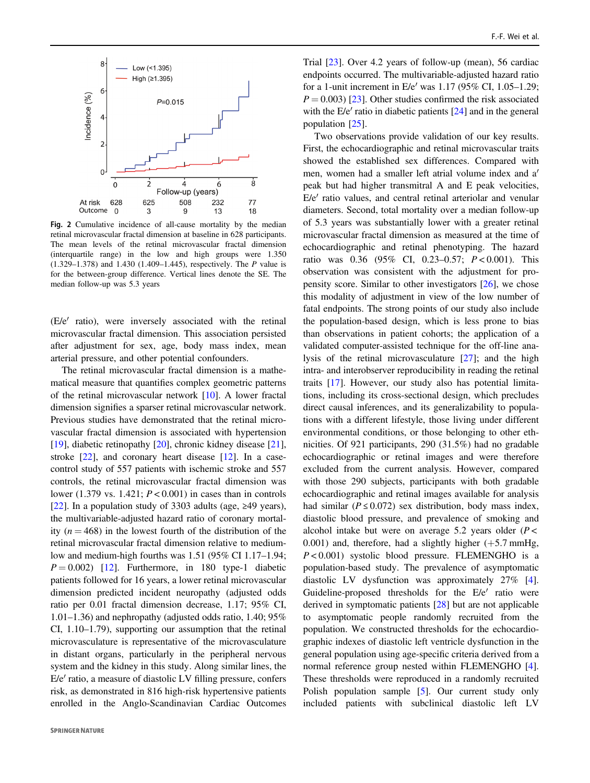<span id="page-5-0"></span>

Fig. 2 Cumulative incidence of all-cause mortality by the median retinal microvascular fractal dimension at baseline in 628 participants. The mean levels of the retinal microvascular fractal dimension (interquartile range) in the low and high groups were 1.350 (1.329–1.378) and 1.430 (1.409–1.445), respectively. The P value is for the between-group difference. Vertical lines denote the SE. The median follow-up was 5.3 years

(E/e′ ratio), were inversely associated with the retinal microvascular fractal dimension. This association persisted after adjustment for sex, age, body mass index, mean arterial pressure, and other potential confounders.

The retinal microvascular fractal dimension is a mathematical measure that quantifies complex geometric patterns of the retinal microvascular network [\[10](#page-6-0)]. A lower fractal dimension signifies a sparser retinal microvascular network. Previous studies have demonstrated that the retinal microvascular fractal dimension is associated with hypertension [\[19](#page-7-0)], diabetic retinopathy [[20\]](#page-7-0), chronic kidney disease [\[21](#page-7-0)], stroke [\[22](#page-7-0)], and coronary heart disease [\[12](#page-6-0)]. In a casecontrol study of 557 patients with ischemic stroke and 557 controls, the retinal microvascular fractal dimension was lower (1.379 vs. 1.421;  $P < 0.001$ ) in cases than in controls [\[22](#page-7-0)]. In a population study of 3303 adults (age,  $\geq 49$  years), the multivariable-adjusted hazard ratio of coronary mortality  $(n = 468)$  in the lowest fourth of the distribution of the retinal microvascular fractal dimension relative to mediumlow and medium-high fourths was 1.51 (95% CI 1.17–1.94;  $P = 0.002$ ) [\[12](#page-6-0)]. Furthermore, in 180 type-1 diabetic patients followed for 16 years, a lower retinal microvascular dimension predicted incident neuropathy (adjusted odds ratio per 0.01 fractal dimension decrease, 1.17; 95% CI, 1.01–1.36) and nephropathy (adjusted odds ratio, 1.40; 95% CI, 1.10–1.79), supporting our assumption that the retinal microvasculature is representative of the microvasculature in distant organs, particularly in the peripheral nervous system and the kidney in this study. Along similar lines, the E/e′ ratio, a measure of diastolic LV filling pressure, confers risk, as demonstrated in 816 high-risk hypertensive patients enrolled in the Anglo-Scandinavian Cardiac Outcomes

Trial [[23\]](#page-7-0). Over 4.2 years of follow-up (mean), 56 cardiac endpoints occurred. The multivariable-adjusted hazard ratio for a 1-unit increment in E/e′ was 1.17 (95% CI, 1.05–1.29;  $P = 0.003$  [\[23](#page-7-0)]. Other studies confirmed the risk associated with the E/e' ratio in diabetic patients [[24\]](#page-7-0) and in the general population [\[25](#page-7-0)].

Two observations provide validation of our key results. First, the echocardiographic and retinal microvascular traits showed the established sex differences. Compared with men, women had a smaller left atrial volume index and a′ peak but had higher transmitral A and E peak velocities, E/e′ ratio values, and central retinal arteriolar and venular diameters. Second, total mortality over a median follow-up of 5.3 years was substantially lower with a greater retinal microvascular fractal dimension as measured at the time of echocardiographic and retinal phenotyping. The hazard ratio was 0.36 (95% CI, 0.23-0.57;  $P < 0.001$ ). This observation was consistent with the adjustment for propensity score. Similar to other investigators [[26\]](#page-7-0), we chose this modality of adjustment in view of the low number of fatal endpoints. The strong points of our study also include the population-based design, which is less prone to bias than observations in patient cohorts; the application of a validated computer-assisted technique for the off-line analysis of the retinal microvasculature [[27\]](#page-7-0); and the high intra- and interobserver reproducibility in reading the retinal traits [\[17](#page-7-0)]. However, our study also has potential limitations, including its cross-sectional design, which precludes direct causal inferences, and its generalizability to populations with a different lifestyle, those living under different environmental conditions, or those belonging to other ethnicities. Of 921 participants, 290 (31.5%) had no gradable echocardiographic or retinal images and were therefore excluded from the current analysis. However, compared with those 290 subjects, participants with both gradable echocardiographic and retinal images available for analysis had similar ( $P \le 0.072$ ) sex distribution, body mass index, diastolic blood pressure, and prevalence of smoking and alcohol intake but were on average 5.2 years older  $(P <$ 0.001) and, therefore, had a slightly higher  $(+5.7 \text{ mmHg})$ ,  $P < 0.001$ ) systolic blood pressure. FLEMENGHO is a population-based study. The prevalence of asymptomatic diastolic LV dysfunction was approximately 27% [[4\]](#page-6-0). Guideline-proposed thresholds for the E/e′ ratio were derived in symptomatic patients [[28\]](#page-7-0) but are not applicable to asymptomatic people randomly recruited from the population. We constructed thresholds for the echocardiographic indexes of diastolic left ventricle dysfunction in the general population using age-specific criteria derived from a normal reference group nested within FLEMENGHO [[4\]](#page-6-0). These thresholds were reproduced in a randomly recruited Polish population sample [\[5](#page-6-0)]. Our current study only included patients with subclinical diastolic left LV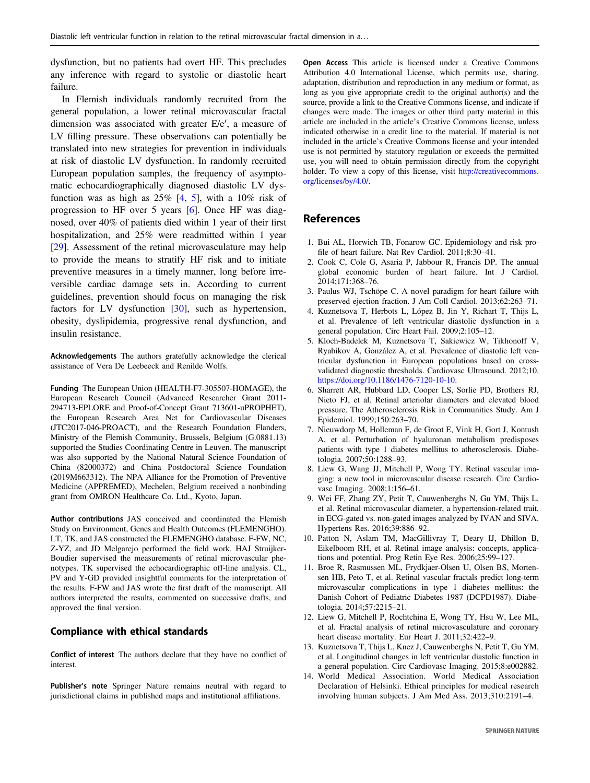<span id="page-6-0"></span>dysfunction, but no patients had overt HF. This precludes any inference with regard to systolic or diastolic heart failure.

In Flemish individuals randomly recruited from the general population, a lower retinal microvascular fractal dimension was associated with greater E/e′, a measure of LV filling pressure. These observations can potentially be translated into new strategies for prevention in individuals at risk of diastolic LV dysfunction. In randomly recruited European population samples, the frequency of asymptomatic echocardiographically diagnosed diastolic LV dysfunction was as high as  $25\%$  [4, 5], with a 10% risk of progression to HF over 5 years [6]. Once HF was diagnosed, over 40% of patients died within 1 year of their first hospitalization, and 25% were readmitted within 1 year [\[29](#page-7-0)]. Assessment of the retinal microvasculature may help to provide the means to stratify HF risk and to initiate preventive measures in a timely manner, long before irreversible cardiac damage sets in. According to current guidelines, prevention should focus on managing the risk factors for LV dysfunction [[30\]](#page-7-0), such as hypertension, obesity, dyslipidemia, progressive renal dysfunction, and insulin resistance.

Acknowledgements The authors gratefully acknowledge the clerical assistance of Vera De Leebeeck and Renilde Wolfs.

Funding The European Union (HEALTH-F7-305507-HOMAGE), the European Research Council (Advanced Researcher Grant 2011- 294713-EPLORE and Proof-of-Concept Grant 713601-uPROPHET), the European Research Area Net for Cardiovascular Diseases (JTC2017-046-PROACT), and the Research Foundation Flanders, Ministry of the Flemish Community, Brussels, Belgium (G.0881.13) supported the Studies Coordinating Centre in Leuven. The manuscript was also supported by the National Natural Science Foundation of China (82000372) and China Postdoctoral Science Foundation (2019M663312). The NPA Alliance for the Promotion of Preventive Medicine (APPREMED), Mechelen, Belgium received a nonbinding grant from OMRON Healthcare Co. Ltd., Kyoto, Japan.

Author contributions JAS conceived and coordinated the Flemish Study on Environment, Genes and Health Outcomes (FLEMENGHO). LT, TK, and JAS constructed the FLEMENGHO database. F-FW, NC, Z-YZ, and JD Melgarejo performed the field work. HAJ Struijker-Boudier supervised the measurements of retinal microvascular phenotypes. TK supervised the echocardiographic off-line analysis. CL, PV and Y-GD provided insightful comments for the interpretation of the results. F-FW and JAS wrote the first draft of the manuscript. All authors interpreted the results, commented on successive drafts, and approved the final version.

#### Compliance with ethical standards

Conflict of interest The authors declare that they have no conflict of interest.

Publisher's note Springer Nature remains neutral with regard to jurisdictional claims in published maps and institutional affiliations.

Open Access This article is licensed under a Creative Commons Attribution 4.0 International License, which permits use, sharing, adaptation, distribution and reproduction in any medium or format, as long as you give appropriate credit to the original author(s) and the source, provide a link to the Creative Commons license, and indicate if changes were made. The images or other third party material in this article are included in the article's Creative Commons license, unless indicated otherwise in a credit line to the material. If material is not included in the article's Creative Commons license and your intended use is not permitted by statutory regulation or exceeds the permitted use, you will need to obtain permission directly from the copyright holder. To view a copy of this license, visit [http://creativecommons.](http://creativecommons.org/licenses/by/4.0/) [org/licenses/by/4.0/](http://creativecommons.org/licenses/by/4.0/).

#### References

- 1. Bui AL, Horwich TB, Fonarow GC. Epidemiology and risk profile of heart failure. Nat Rev Cardiol. 2011;8:30–41.
- 2. Cook C, Cole G, Asaria P, Jabbour R, Francis DP. The annual global economic burden of heart failure. Int J Cardiol. 2014;171:368–76.
- 3. Paulus WJ, Tschöpe C. A novel paradigm for heart failure with preserved ejection fraction. J Am Coll Cardiol. 2013;62:263–71.
- 4. Kuznetsova T, Herbots L, López B, Jin Y, Richart T, Thijs L, et al. Prevalence of left ventricular diastolic dysfunction in a general population. Circ Heart Fail. 2009;2:105–12.
- 5. Kloch-Badelek M, Kuznetsova T, Sakiewicz W, Tikhonoff V, Ryabikov A, González A, et al. Prevalence of diastolic left ventricular dysfunction in European populations based on crossvalidated diagnostic thresholds. Cardiovasc Ultrasound. 2012;10. <https://doi.org/10.1186/1476-7120-10-10>.
- 6. Sharrett AR, Hubbard LD, Cooper LS, Sorlie PD, Brothers RJ, Nieto FJ, et al. Retinal arteriolar diameters and elevated blood pressure. The Atherosclerosis Risk in Communities Study. Am J Epidemiol. 1999;150:263–70.
- 7. Nieuwdorp M, Holleman F, de Groot E, Vink H, Gort J, Kontush A, et al. Perturbation of hyaluronan metabolism predisposes patients with type 1 diabetes mellitus to atherosclerosis. Diabetologia. 2007;50:1288–93.
- 8. Liew G, Wang JJ, Mitchell P, Wong TY. Retinal vascular imaging: a new tool in microvascular disease research. Circ Cardiovasc Imaging. 2008;1:156–61.
- 9. Wei FF, Zhang ZY, Petit T, Cauwenberghs N, Gu YM, Thijs L, et al. Retinal microvascular diameter, a hypertension-related trait, in ECG-gated vs. non-gated images analyzed by IVAN and SIVA. Hypertens Res. 2016;39:886–92.
- 10. Patton N, Aslam TM, MacGillivray T, Deary IJ, Dhillon B, Eikelboom RH, et al. Retinal image analysis: concepts, applications and potential. Prog Retin Eye Res. 2006;25:99–127.
- 11. Broe R, Rasmussen ML, Frydkjaer-Olsen U, Olsen BS, Mortensen HB, Peto T, et al. Retinal vascular fractals predict long-term microvascular complications in type 1 diabetes mellitus: the Danish Cohort of Pediatric Diabetes 1987 (DCPD1987). Diabetologia. 2014;57:2215–21.
- 12. Liew G, Mitchell P, Rochtchina E, Wong TY, Hsu W, Lee ML, et al. Fractal analysis of retinal microvasculature and coronary heart disease mortality. Eur Heart J. 2011;32:422–9.
- 13. Kuznetsova T, Thijs L, Knez J, Cauwenberghs N, Petit T, Gu YM, et al. Longitudinal changes in left ventricular diastolic function in a general population. Circ Cardiovasc Imaging. 2015;8:e002882.
- 14. World Medical Association. World Medical Association Declaration of Helsinki. Ethical principles for medical research involving human subjects. J Am Med Ass. 2013;310:2191–4.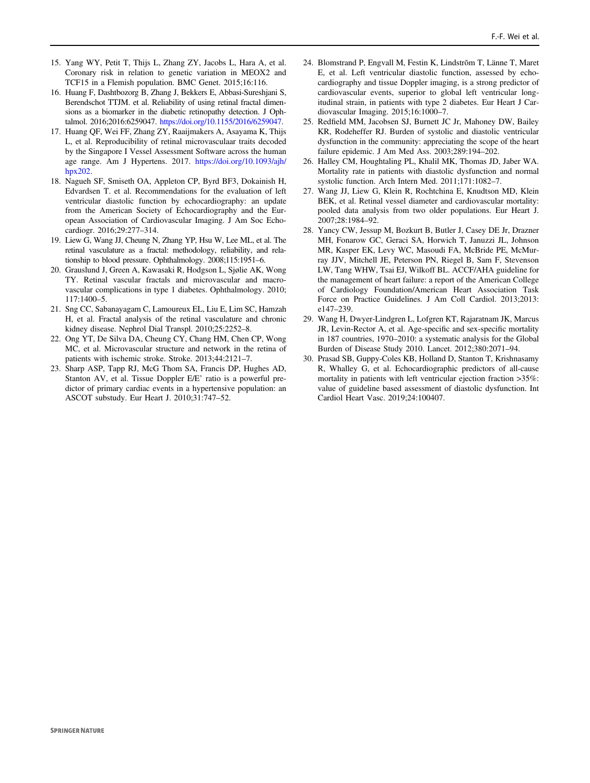- <span id="page-7-0"></span>15. Yang WY, Petit T, Thijs L, Zhang ZY, Jacobs L, Hara A, et al. Coronary risk in relation to genetic variation in MEOX2 and TCF15 in a Flemish population. BMC Genet. 2015;16:116.
- 16. Huang F, Dashtbozorg B, Zhang J, Bekkers E, Abbasi-Sureshjani S, Berendschot TTJM. et al. Reliability of using retinal fractal dimensions as a biomarker in the diabetic retinopathy detection. J Ophtalmol. 2016;2016:6259047. <https://doi.org/10.1155/2016/6259047>.
- 17. Huang QF, Wei FF, Zhang ZY, Raaijmakers A, Asayama K, Thijs L, et al. Reproducibility of retinal microvasculaar traits decoded by the Singapore I Vessel Assessment Software across the human age range. Am J Hypertens. 2017. [https://doi.org/10.1093/ajh/](https://doi.org/10.1093/ajh/hpx202) [hpx202](https://doi.org/10.1093/ajh/hpx202).
- 18. Nagueh SF, Smiseth OA, Appleton CP, Byrd BF3, Dokainish H, Edvardsen T. et al. Recommendations for the evaluation of left ventricular diastolic function by echocardiography: an update from the American Society of Echocardiography and the European Association of Cardiovascular Imaging. J Am Soc Echocardiogr. 2016;29:277–314.
- 19. Liew G, Wang JJ, Cheung N, Zhang YP, Hsu W, Lee ML, et al. The retinal vasculature as a fractal: methodology, reliability, and relationship to blood pressure. Ophthalmology. 2008;115:1951–6.
- 20. Grauslund J, Green A, Kawasaki R, Hodgson L, Sjølie AK, Wong TY. Retinal vascular fractals and microvascular and macrovascular complications in type 1 diabetes. Ophthalmology. 2010; 117:1400–5.
- 21. Sng CC, Sabanayagam C, Lamoureux EL, Liu E, Lim SC, Hamzah H, et al. Fractal analysis of the retinal vasculature and chronic kidney disease. Nephrol Dial Transpl. 2010;25:2252–8.
- 22. Ong YT, De Silva DA, Cheung CY, Chang HM, Chen CP, Wong MC, et al. Microvascular structure and network in the retina of patients with ischemic stroke. Stroke. 2013;44:2121–7.
- 23. Sharp ASP, Tapp RJ, McG Thom SA, Francis DP, Hughes AD, Stanton AV, et al. Tissue Doppler E/E' ratio is a powerful predictor of primary cardiac events in a hypertensive population: an ASCOT substudy. Eur Heart J. 2010;31:747–52.
- 24. Blomstrand P, Engvall M, Festin K, Lindstrõm T, Länne T, Maret E, et al. Left ventricular diastolic function, assessed by echocardiography and tissue Doppler imaging, is a strong predictor of cardiovascular events, superior to global left ventricular longitudinal strain, in patients with type 2 diabetes. Eur Heart J Cardiovascular Imaging. 2015;16:1000–7.
- 25. Redfield MM, Jacobsen SJ, Burnett JC Jr, Mahoney DW, Bailey KR, Rodeheffer RJ. Burden of systolic and diastolic ventricular dysfunction in the community: appreciating the scope of the heart failure epidemic. J Am Med Ass. 2003;289:194–202.
- 26. Halley CM, Houghtaling PL, Khalil MK, Thomas JD, Jaber WA. Mortality rate in patients with diastolic dysfunction and normal systolic function. Arch Intern Med. 2011;171:1082–7.
- 27. Wang JJ, Liew G, Klein R, Rochtchina E, Knudtson MD, Klein BEK, et al. Retinal vessel diameter and cardiovascular mortality: pooled data analysis from two older populations. Eur Heart J. 2007;28:1984–92.
- 28. Yancy CW, Jessup M, Bozkurt B, Butler J, Casey DE Jr, Drazner MH, Fonarow GC, Geraci SA, Horwich T, Januzzi JL, Johnson MR, Kasper EK, Levy WC, Masoudi FA, McBride PE, McMurray JJV, Mitchell JE, Peterson PN, Riegel B, Sam F, Stevenson LW, Tang WHW, Tsai EJ, Wilkoff BL. ACCF/AHA guideline for the management of heart failure: a report of the American College of Cardiology Foundation/American Heart Association Task Force on Practice Guidelines. J Am Coll Cardiol. 2013;2013: e147–239.
- 29. Wang H, Dwyer-Lindgren L, Lofgren KT, Rajaratnam JK, Marcus JR, Levin-Rector A, et al. Age-specific and sex-specific mortality in 187 countries, 1970–2010: a systematic analysis for the Global Burden of Disease Study 2010. Lancet. 2012;380:2071–94.
- 30. Prasad SB, Guppy-Coles KB, Holland D, Stanton T, Krishnasamy R, Whalley G, et al. Echocardiographic predictors of all-cause mortality in patients with left ventricular ejection fraction >35%: value of guideline based assessment of diastolic dysfunction. Int Cardiol Heart Vasc. 2019;24:100407.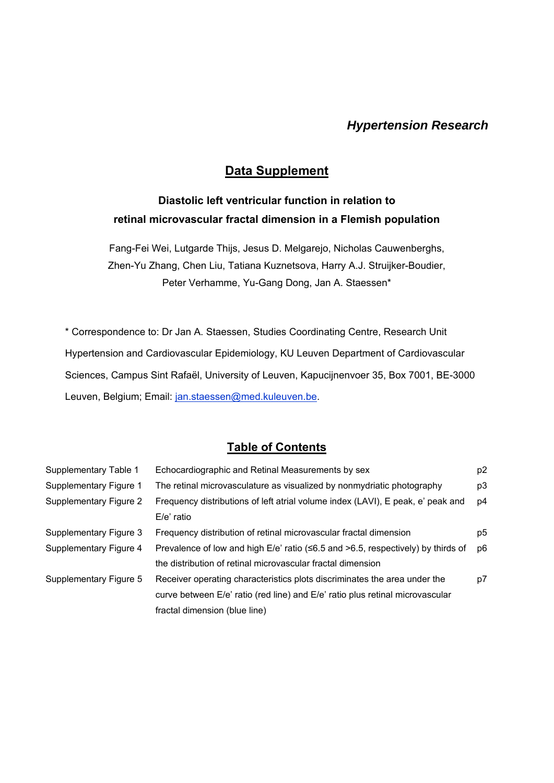# *Hypertension Research*

# **Data Supplement**

# **Diastolic left ventricular function in relation to retinal microvascular fractal dimension in a Flemish population**

Fang-Fei Wei, Lutgarde Thijs, Jesus D. Melgarejo, Nicholas Cauwenberghs, Zhen-Yu Zhang, Chen Liu, Tatiana Kuznetsova, Harry A.J. Struijker-Boudier, Peter Verhamme, Yu-Gang Dong, Jan A. Staessen\*

\* Correspondence to: Dr Jan A. Staessen, Studies Coordinating Centre, Research Unit Hypertension and Cardiovascular Epidemiology, KU Leuven Department of Cardiovascular Sciences, Campus Sint Rafaël, University of Leuven, Kapucijnenvoer 35, Box 7001, BE-3000 Leuven, Belgium; Email: jan.staessen@med.kuleuven.be.

## **Table of Contents**

| Supplementary Table 1  | Echocardiographic and Retinal Measurements by sex                                             | p <sub>2</sub> |
|------------------------|-----------------------------------------------------------------------------------------------|----------------|
| Supplementary Figure 1 | The retinal microvasculature as visualized by nonmydriatic photography                        | p3             |
| Supplementary Figure 2 | Frequency distributions of left atrial volume index (LAVI), E peak, e' peak and               | p4             |
|                        | $E/e'$ ratio                                                                                  |                |
| Supplementary Figure 3 | Frequency distribution of retinal microvascular fractal dimension                             | p5             |
| Supplementary Figure 4 | Prevalence of low and high $E/e'$ ratio ( $\leq 6.5$ and $> 6.5$ , respectively) by thirds of | p <sub>6</sub> |
|                        | the distribution of retinal microvascular fractal dimension                                   |                |
| Supplementary Figure 5 | Receiver operating characteristics plots discriminates the area under the                     | p7             |
|                        | curve between E/e' ratio (red line) and E/e' ratio plus retinal microvascular                 |                |
|                        | fractal dimension (blue line)                                                                 |                |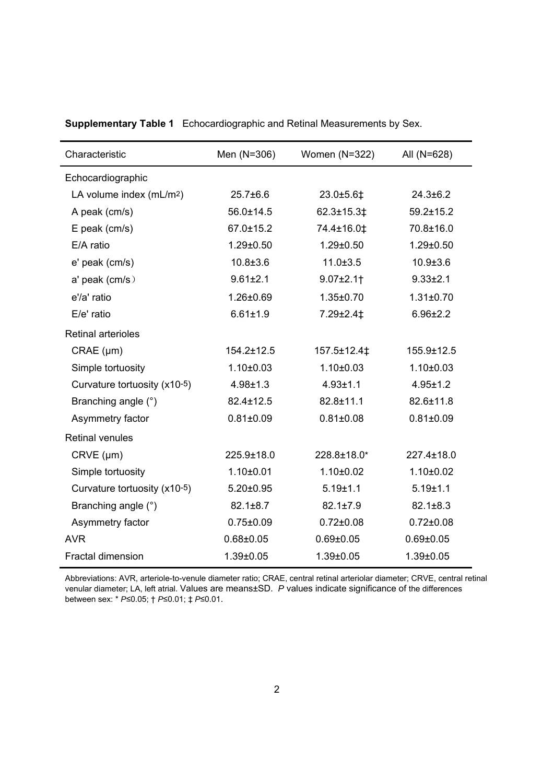| Characteristic                       | Men (N=306)     | Women (N=322)   | All (N=628)     |
|--------------------------------------|-----------------|-----------------|-----------------|
| Echocardiographic                    |                 |                 |                 |
| LA volume index (mL/m <sup>2</sup> ) | $25.7 \pm 6.6$  | 23.0±5.6‡       | $24.3 \pm 6.2$  |
| A peak (cm/s)                        | 56.0±14.5       | 62.3±15.3‡      | $59.2 \pm 15.2$ |
| E peak (cm/s)                        | 67.0±15.2       | 74.4±16.0‡      | 70.8±16.0       |
| E/A ratio                            | $1.29 \pm 0.50$ | $1.29 \pm 0.50$ | $1.29 \pm 0.50$ |
| e' peak (cm/s)                       | $10.8 \pm 3.6$  | $11.0 \pm 3.5$  | $10.9 \pm 3.6$  |
| a' peak (cm/s)                       | $9.61 \pm 2.1$  | $9.07 \pm 2.1$  | $9.33 \pm 2.1$  |
| e'/a' ratio                          | 1.26±0.69       | $1.35 \pm 0.70$ | $1.31 \pm 0.70$ |
| E/e' ratio                           | $6.61 \pm 1.9$  | 7.29±2.4‡       | $6.96 \pm 2.2$  |
| <b>Retinal arterioles</b>            |                 |                 |                 |
| $CRAE$ ( $\mu$ m)                    | 154.2±12.5      | 157.5±12.4‡     | 155.9±12.5      |
| Simple tortuosity                    | $1.10 \pm 0.03$ | $1.10 + 0.03$   | $1.10 \pm 0.03$ |
| Curvature tortuosity (x10-5)         | $4.98 \pm 1.3$  | $4.93 + 1.1$    | $4.95 \pm 1.2$  |
| Branching angle (°)                  | 82.4±12.5       | 82.8±11.1       | 82.6±11.8       |
| Asymmetry factor                     | $0.81 \pm 0.09$ | $0.81 \pm 0.08$ | $0.81 \pm 0.09$ |
| <b>Retinal venules</b>               |                 |                 |                 |
| CRVE (µm)                            | 225.9±18.0      | 228.8±18.0*     | 227.4±18.0      |
| Simple tortuosity                    | $1.10 \pm 0.01$ | $1.10 \pm 0.02$ | $1.10 \pm 0.02$ |
| Curvature tortuosity (x10-5)         | $5.20 \pm 0.95$ | $5.19 + 1.1$    | $5.19 \pm 1.1$  |
| Branching angle (°)                  | $82.1 \pm 8.7$  | $82.1 \pm 7.9$  | $82.1 \pm 8.3$  |
| Asymmetry factor                     | $0.75 \pm 0.09$ | $0.72 \pm 0.08$ | $0.72 \pm 0.08$ |
| <b>AVR</b>                           | $0.68 \pm 0.05$ | $0.69 \pm 0.05$ | $0.69 \pm 0.05$ |
| <b>Fractal dimension</b>             | $1.39 \pm 0.05$ | $1.39 \pm 0.05$ | $1.39 \pm 0.05$ |

**Supplementary Table 1** Echocardiographic and Retinal Measurements by Sex.

Abbreviations: AVR, arteriole-to-venule diameter ratio; CRAE, central retinal arteriolar diameter; CRVE, central retinal venular diameter; LA, left atrial. Values are means±SD. *P* values indicate significance of the differences between sex: \* *P*≤0.05; † *P*≤0.01; ‡ *P*≤0.01.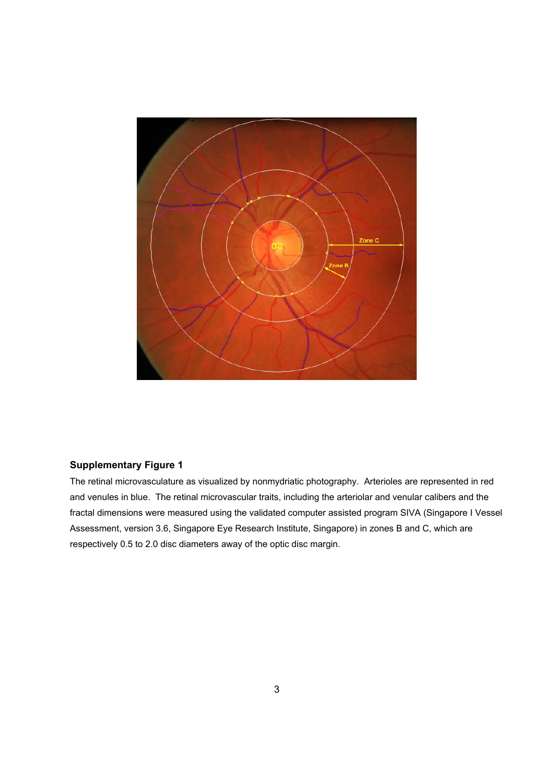

The retinal microvasculature as visualized by nonmydriatic photography. Arterioles are represented in red and venules in blue. The retinal microvascular traits, including the arteriolar and venular calibers and the fractal dimensions were measured using the validated computer assisted program SIVA (Singapore I Vessel Assessment, version 3.6, Singapore Eye Research Institute, Singapore) in zones B and C, which are respectively 0.5 to 2.0 disc diameters away of the optic disc margin.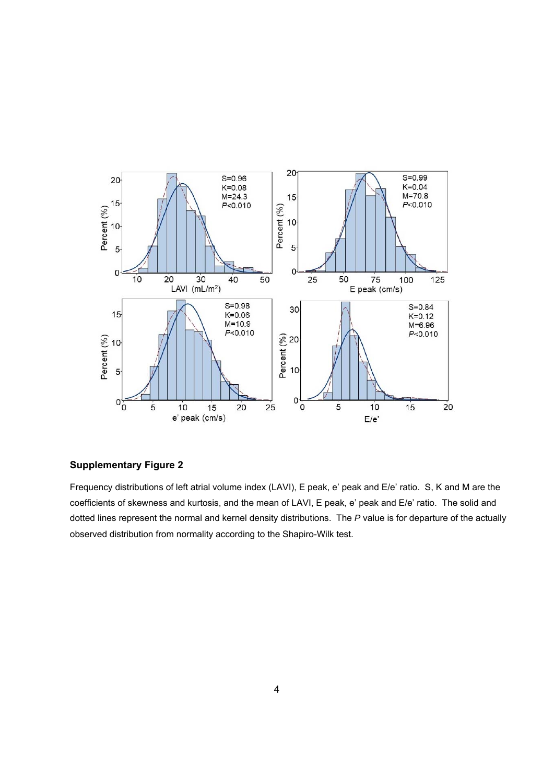

Frequency distributions of left atrial volume index (LAVI), E peak, e' peak and E/e' ratio.S, K and M are the coefficients of skewness and kurtosis, and the mean of LAVI, E peak, e' peak and E/e' ratio. The solid and dotted lines represent the normal and kernel density distributions. The *P* value is for departure of the actually observed distribution from normality according to the Shapiro-Wilk test.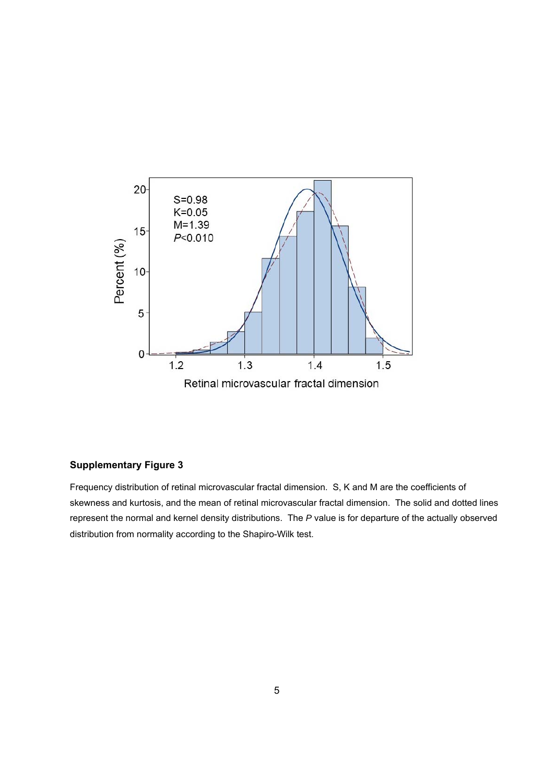

Frequency distribution of retinal microvascular fractal dimension.S, K and M are the coefficients of skewness and kurtosis, and the mean of retinal microvascular fractal dimension. The solid and dotted lines represent the normal and kernel density distributions. The *P* value is for departure of the actually observed distribution from normality according to the Shapiro-Wilk test.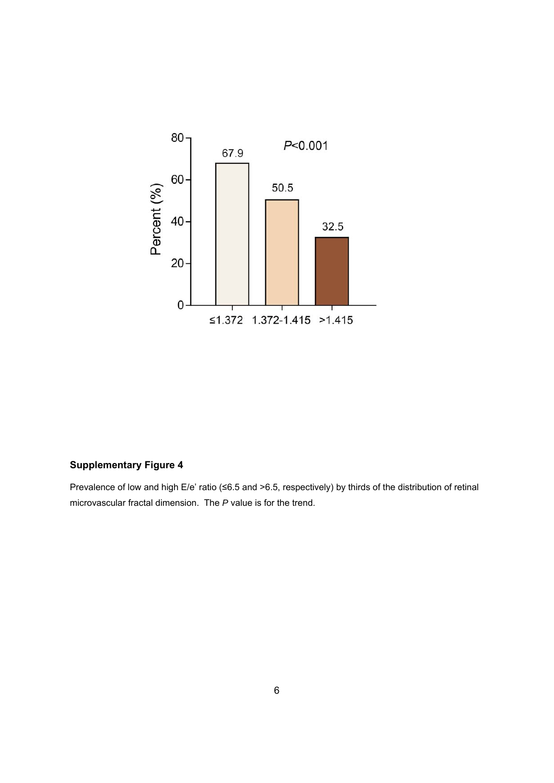

Prevalence of low and high E/e' ratio (≤6.5 and >6.5, respectively) by thirds of the distribution of retinal microvascular fractal dimension.The *P* value is for the trend.